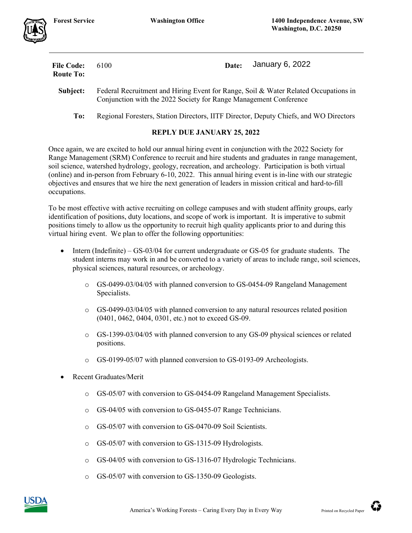| <b>File Code:</b><br><b>Route To:</b> | 6100                                                                                                                                                     | Date: | January 6, 2022 |
|---------------------------------------|----------------------------------------------------------------------------------------------------------------------------------------------------------|-------|-----------------|
| Subject:                              | Federal Recruitment and Hiring Event for Range, Soil & Water Related Occupations in<br>Conjunction with the 2022 Society for Range Management Conference |       |                 |
| To:                                   | Regional Foresters, Station Directors, IITF Director, Deputy Chiefs, and WO Directors                                                                    |       |                 |

## **REPLY DUE JANUARY 25, 2022**

Once again, we are excited to hold our annual hiring event in conjunction with the 2022 Society for Range Management (SRM) Conference to recruit and hire students and graduates in range management, soil science, watershed hydrology, geology, recreation, and archeology. Participation is both virtual (online) and in-person from February 6-10, 2022. This annual hiring event is in-line with our strategic objectives and ensures that we hire the next generation of leaders in mission critical and hard-to-fill occupations.

To be most effective with active recruiting on college campuses and with student affinity groups, early identification of positions, duty locations, and scope of work is important. It is imperative to submit positions timely to allow us the opportunity to recruit high quality applicants prior to and during this virtual hiring event. We plan to offer the following opportunities:

- Intern (Indefinite) GS-03/04 for current undergraduate or GS-05 for graduate students. The student interns may work in and be converted to a variety of areas to include range, soil sciences, physical sciences, natural resources, or archeology.
	- o GS-0499-03/04/05 with planned conversion to GS-0454-09 Rangeland Management Specialists.
	- o GS-0499-03/04/05 with planned conversion to any natural resources related position (0401, 0462, 0404, 0301, etc.) not to exceed GS-09.
	- o GS-1399-03/04/05 with planned conversion to any GS-09 physical sciences or related positions.
	- o GS-0199-05/07 with planned conversion to GS-0193-09 Archeologists.
- Recent Graduates/Merit
	- o GS-05/07 with conversion to GS-0454-09 Rangeland Management Specialists.
	- o GS-04/05 with conversion to GS-0455-07 Range Technicians.
	- o GS-05/07 with conversion to GS-0470-09 Soil Scientists.
	- o GS-05/07 with conversion to GS-1315-09 Hydrologists.
	- o GS-04/05 with conversion to GS-1316-07 Hydrologic Technicians.
	- o GS-05/07 with conversion to GS-1350-09 Geologists.